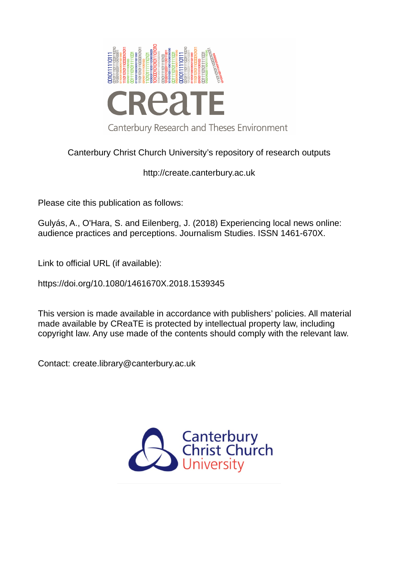

# Canterbury Christ Church University's repository of research outputs

http://create.canterbury.ac.uk

Please cite this publication as follows:

Gulyás, A., O'Hara, S. and Eilenberg, J. (2018) Experiencing local news online: audience practices and perceptions. Journalism Studies. ISSN 1461-670X.

Link to official URL (if available):

https://doi.org/10.1080/1461670X.2018.1539345

This version is made available in accordance with publishers' policies. All material made available by CReaTE is protected by intellectual property law, including copyright law. Any use made of the contents should comply with the relevant law.

Contact: create.library@canterbury.ac.uk

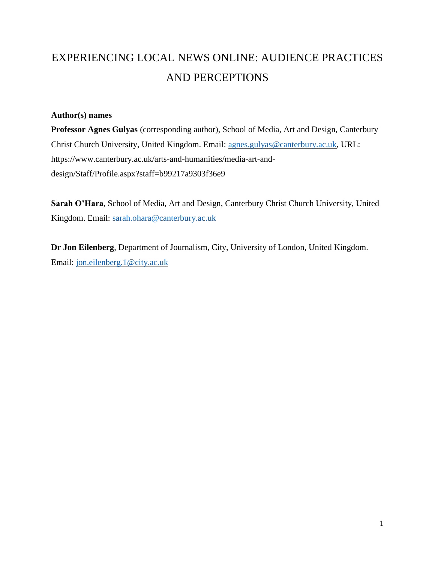# EXPERIENCING LOCAL NEWS ONLINE: AUDIENCE PRACTICES AND PERCEPTIONS

## **Author(s) names**

**Professor Agnes Gulyas** (corresponding author), School of Media, Art and Design, Canterbury Christ Church University, United Kingdom. Email: [agnes.gulyas@canterbury.ac.uk,](mailto:agnes.gulyas@canterbury.ac.uk) URL: https://www.canterbury.ac.uk/arts-and-humanities/media-art-anddesign/Staff/Profile.aspx?staff=b99217a9303f36e9

**Sarah O'Hara**, School of Media, Art and Design, Canterbury Christ Church University, United Kingdom. Email: [sarah.ohara@canterbury.ac.uk](mailto:sarah.ohara@canterbury.ac.uk)

**Dr Jon Eilenberg**, Department of Journalism, City, University of London, United Kingdom. Email: [jon.eilenberg.1@city.ac.uk](mailto:jon.eilenberg.1@city.ac.uk)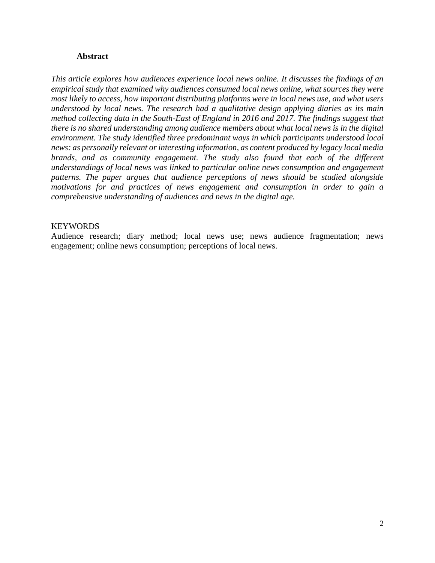## **Abstract**

*This article explores how audiences experience local news online. It discusses the findings of an empirical study that examined why audiences consumed local news online, what sources they were most likely to access, how important distributing platforms were in local news use, and what users understood by local news. The research had a qualitative design applying diaries as its main method collecting data in the South-East of England in 2016 and 2017. The findings suggest that there is no shared understanding among audience members about what local news is in the digital environment. The study identified three predominant ways in which participants understood local news: as personally relevant or interesting information, as content produced by legacy local media brands, and as community engagement. The study also found that each of the different understandings of local news was linked to particular online news consumption and engagement patterns. The paper argues that audience perceptions of news should be studied alongside motivations for and practices of news engagement and consumption in order to gain a comprehensive understanding of audiences and news in the digital age.*

## KEYWORDS

Audience research; diary method; local news use; news audience fragmentation; news engagement; online news consumption; perceptions of local news.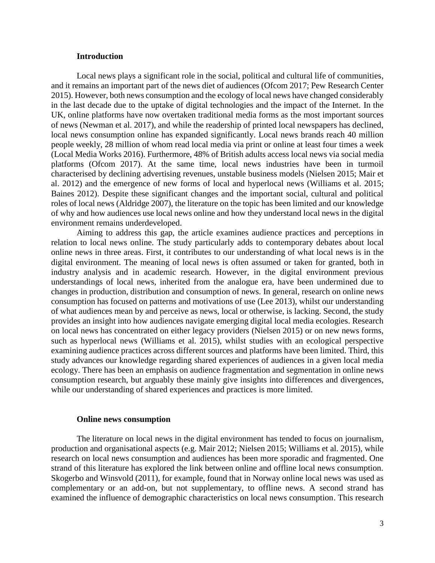#### **Introduction**

Local news plays a significant role in the social, political and cultural life of communities, and it remains an important part of the news diet of audiences (Ofcom 2017; Pew Research Center 2015). However, both news consumption and the ecology of local news have changed considerably in the last decade due to the uptake of digital technologies and the impact of the Internet. In the UK, online platforms have now overtaken traditional media forms as the most important sources of news (Newman et al. 2017), and while the readership of printed local newspapers has declined, local news consumption online has expanded significantly. Local news brands reach 40 million people weekly, 28 million of whom read local media via print or online at least four times a week (Local Media Works 2016). Furthermore, 48% of British adults access local news via social media platforms (Ofcom 2017). At the same time, local news industries have been in turmoil characterised by declining advertising revenues, unstable business models (Nielsen 2015; Mair et al. 2012) and the emergence of new forms of local and hyperlocal news (Williams et al. 2015; Baines 2012). Despite these significant changes and the important social, cultural and political roles of local news (Aldridge 2007), the literature on the topic has been limited and our knowledge of why and how audiences use local news online and how they understand local news in the digital environment remains underdeveloped.

Aiming to address this gap, the article examines audience practices and perceptions in relation to local news online. The study particularly adds to contemporary debates about local online news in three areas. First, it contributes to our understanding of what local news is in the digital environment. The meaning of local news is often assumed or taken for granted, both in industry analysis and in academic research. However, in the digital environment previous understandings of local news, inherited from the analogue era, have been undermined due to changes in production, distribution and consumption of news. In general, research on online news consumption has focused on patterns and motivations of use (Lee 2013), whilst our understanding of what audiences mean by and perceive as news, local or otherwise, is lacking. Second, the study provides an insight into how audiences navigate emerging digital local media ecologies. Research on local news has concentrated on either legacy providers (Nielsen 2015) or on new news forms, such as hyperlocal news (Williams et al. 2015), whilst studies with an ecological perspective examining audience practices across different sources and platforms have been limited. Third, this study advances our knowledge regarding shared experiences of audiences in a given local media ecology. There has been an emphasis on audience fragmentation and segmentation in online news consumption research, but arguably these mainly give insights into differences and divergences, while our understanding of shared experiences and practices is more limited.

#### **Online news consumption**

The literature on local news in the digital environment has tended to focus on journalism, production and organisational aspects (e.g. Mair 2012; Nielsen 2015; Williams et al. 2015), while research on local news consumption and audiences has been more sporadic and fragmented. One strand of this literature has explored the link between online and offline local news consumption. Skogerbo and Winsvold (2011), for example, found that in Norway online local news was used as complementary or an add-on, but not supplementary, to offline news. A second strand has examined the influence of demographic characteristics on local news consumption. This research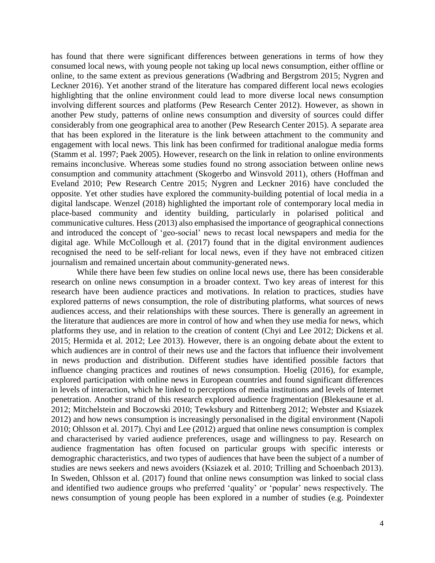has found that there were significant differences between generations in terms of how they consumed local news, with young people not taking up local news consumption, either offline or online, to the same extent as previous generations (Wadbring and Bergstrom 2015; Nygren and Leckner 2016). Yet another strand of the literature has compared different local news ecologies highlighting that the online environment could lead to more diverse local news consumption involving different sources and platforms (Pew Research Center 2012). However, as shown in another Pew study, patterns of online news consumption and diversity of sources could differ considerably from one geographical area to another (Pew Research Center 2015). A separate area that has been explored in the literature is the link between attachment to the community and engagement with local news. This link has been confirmed for traditional analogue media forms (Stamm et al. 1997; Paek 2005). However, research on the link in relation to online environments remains inconclusive. Whereas some studies found no strong association between online news consumption and community attachment (Skogerbo and Winsvold 2011), others (Hoffman and Eveland 2010; Pew Research Centre 2015; Nygren and Leckner 2016) have concluded the opposite. Yet other studies have explored the community-building potential of local media in a digital landscape. Wenzel (2018) highlighted the important role of contemporary local media in place-based community and identity building, particularly in polarised political and communicative cultures. Hess (2013) also emphasised the importance of geographical connections and introduced the concept of 'geo-social' news to recast local newspapers and media for the digital age. While McCollough et al. (2017) found that in the digital environment audiences recognised the need to be self-reliant for local news, even if they have not embraced citizen journalism and remained uncertain about community-generated news.

While there have been few studies on online local news use, there has been considerable research on online news consumption in a broader context. Two key areas of interest for this research have been audience practices and motivations. In relation to practices, studies have explored patterns of news consumption, the role of distributing platforms, what sources of news audiences access, and their relationships with these sources. There is generally an agreement in the literature that audiences are more in control of how and when they use media for news, which platforms they use, and in relation to the creation of content (Chyi and Lee 2012; Dickens et al. 2015; Hermida et al. 2012; Lee 2013). However, there is an ongoing debate about the extent to which audiences are in control of their news use and the factors that influence their involvement in news production and distribution. Different studies have identified possible factors that influence changing practices and routines of news consumption. Hoelig (2016), for example, explored participation with online news in European countries and found significant differences in levels of interaction, which he linked to perceptions of media institutions and levels of Internet penetration. Another strand of this research explored audience fragmentation (Blekesaune et al. 2012; Mitchelstein and Boczowski 2010; Tewksbury and Rittenberg 2012; Webster and Ksiazek 2012) and how news consumption is increasingly personalised in the digital environment (Napoli 2010; Ohlsson et al. 2017). Chyi and Lee (2012) argued that online news consumption is complex and characterised by varied audience preferences, usage and willingness to pay. Research on audience fragmentation has often focused on particular groups with specific interests or demographic characteristics, and two types of audiences that have been the subject of a number of studies are news seekers and news avoiders (Ksiazek et al. 2010; Trilling and Schoenbach 2013). In Sweden, Ohlsson et al. (2017) found that online news consumption was linked to social class and identified two audience groups who preferred 'quality' or 'popular' news respectively. The news consumption of young people has been explored in a number of studies (e.g. Poindexter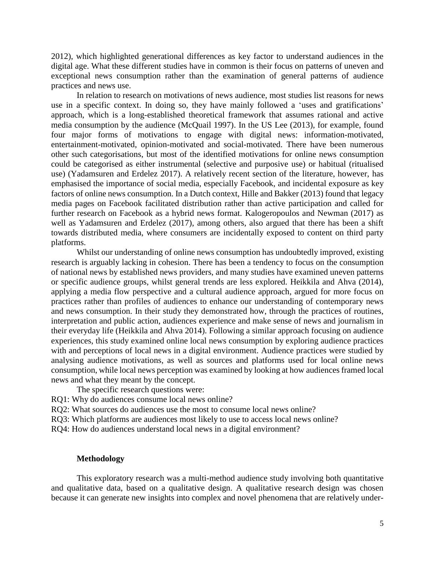2012), which highlighted generational differences as key factor to understand audiences in the digital age. What these different studies have in common is their focus on patterns of uneven and exceptional news consumption rather than the examination of general patterns of audience practices and news use.

In relation to research on motivations of news audience, most studies list reasons for news use in a specific context. In doing so, they have mainly followed a 'uses and gratifications' approach, which is a long-established theoretical framework that assumes rational and active media consumption by the audience (McQuail 1997). In the US Lee (2013), for example, found four major forms of motivations to engage with digital news: information-motivated, entertainment-motivated, opinion-motivated and social-motivated. There have been numerous other such categorisations, but most of the identified motivations for online news consumption could be categorised as either instrumental (selective and purposive use) or habitual (ritualised use) (Yadamsuren and Erdelez 2017). A relatively recent section of the literature, however, has emphasised the importance of social media, especially Facebook, and incidental exposure as key factors of online news consumption. In a Dutch context, Hille and Bakker (2013) found that legacy media pages on Facebook facilitated distribution rather than active participation and called for further research on Facebook as a hybrid news format. Kalogeropoulos and Newman (2017) as well as Yadamsuren and Erdelez (2017), among others, also argued that there has been a shift towards distributed media, where consumers are incidentally exposed to content on third party platforms.

Whilst our understanding of online news consumption has undoubtedly improved, existing research is arguably lacking in cohesion. There has been a tendency to focus on the consumption of national news by established news providers, and many studies have examined uneven patterns or specific audience groups, whilst general trends are less explored. Heikkila and Ahva (2014), applying a media flow perspective and a cultural audience approach, argued for more focus on practices rather than profiles of audiences to enhance our understanding of contemporary news and news consumption. In their study they demonstrated how, through the practices of routines, interpretation and public action, audiences experience and make sense of news and journalism in their everyday life (Heikkila and Ahva 2014). Following a similar approach focusing on audience experiences, this study examined online local news consumption by exploring audience practices with and perceptions of local news in a digital environment. Audience practices were studied by analysing audience motivations, as well as sources and platforms used for local online news consumption, while local news perception was examined by looking at how audiences framed local news and what they meant by the concept.

The specific research questions were:

- RQ1: Why do audiences consume local news online?
- RQ2: What sources do audiences use the most to consume local news online?
- RQ3: Which platforms are audiences most likely to use to access local news online?

RQ4: How do audiences understand local news in a digital environment?

#### **Methodology**

This exploratory research was a multi-method audience study involving both quantitative and qualitative data, based on a qualitative design. A qualitative research design was chosen because it can generate new insights into complex and novel phenomena that are relatively under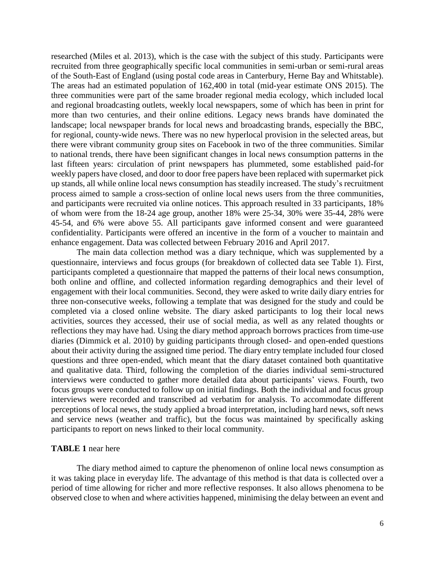researched (Miles et al. 2013), which is the case with the subject of this study. Participants were recruited from three geographically specific local communities in semi-urban or semi-rural areas of the South-East of England (using postal code areas in Canterbury, Herne Bay and Whitstable). The areas had an estimated population of 162,400 in total (mid-year estimate ONS 2015). The three communities were part of the same broader regional media ecology, which included local and regional broadcasting outlets, weekly local newspapers, some of which has been in print for more than two centuries, and their online editions. Legacy news brands have dominated the landscape; local newspaper brands for local news and broadcasting brands, especially the BBC, for regional, county-wide news. There was no new hyperlocal provision in the selected areas, but there were vibrant community group sites on Facebook in two of the three communities. Similar to national trends, there have been significant changes in local news consumption patterns in the last fifteen years: circulation of print newspapers has plummeted, some established paid-for weekly papers have closed, and door to door free papers have been replaced with supermarket pick up stands, all while online local news consumption has steadily increased. The study's recruitment process aimed to sample a cross-section of online local news users from the three communities, and participants were recruited via online notices. This approach resulted in 33 participants, 18% of whom were from the 18-24 age group, another 18% were 25-34, 30% were 35-44, 28% were 45-54, and 6% were above 55. All participants gave informed consent and were guaranteed confidentiality. Participants were offered an incentive in the form of a voucher to maintain and enhance engagement. Data was collected between February 2016 and April 2017.

The main data collection method was a diary technique, which was supplemented by a questionnaire, interviews and focus groups (for breakdown of collected data see Table 1). First, participants completed a questionnaire that mapped the patterns of their local news consumption, both online and offline, and collected information regarding demographics and their level of engagement with their local communities. Second, they were asked to write daily diary entries for three non-consecutive weeks, following a template that was designed for the study and could be completed via a closed online website. The diary asked participants to log their local news activities, sources they accessed, their use of social media, as well as any related thoughts or reflections they may have had. Using the diary method approach borrows practices from time-use diaries (Dimmick et al. 2010) by guiding participants through closed- and open-ended questions about their activity during the assigned time period. The diary entry template included four closed questions and three open-ended, which meant that the diary dataset contained both quantitative and qualitative data. Third, following the completion of the diaries individual semi-structured interviews were conducted to gather more detailed data about participants' views. Fourth, two focus groups were conducted to follow up on initial findings. Both the individual and focus group interviews were recorded and transcribed ad verbatim for analysis. To accommodate different perceptions of local news, the study applied a broad interpretation, including hard news, soft news and service news (weather and traffic), but the focus was maintained by specifically asking participants to report on news linked to their local community.

#### **TABLE 1** near here

The diary method aimed to capture the phenomenon of online local news consumption as it was taking place in everyday life. The advantage of this method is that data is collected over a period of time allowing for richer and more reflective responses. It also allows phenomena to be observed close to when and where activities happened, minimising the delay between an event and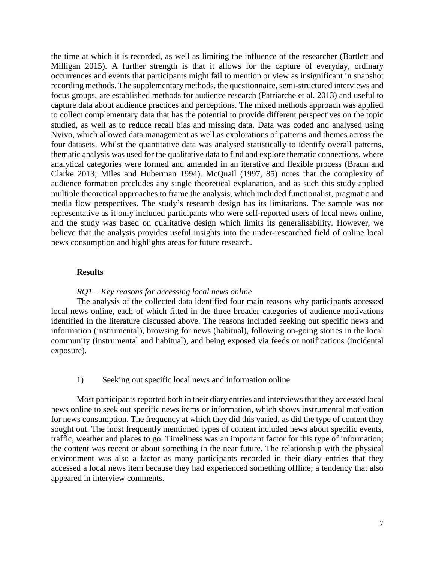the time at which it is recorded, as well as limiting the influence of the researcher (Bartlett and Milligan 2015). A further strength is that it allows for the capture of everyday, ordinary occurrences and events that participants might fail to mention or view as insignificant in snapshot recording methods. The supplementary methods, the questionnaire, semi-structured interviews and focus groups, are established methods for audience research (Patriarche et al. 2013) and useful to capture data about audience practices and perceptions. The mixed methods approach was applied to collect complementary data that has the potential to provide different perspectives on the topic studied, as well as to reduce recall bias and missing data. Data was coded and analysed using Nvivo, which allowed data management as well as explorations of patterns and themes across the four datasets. Whilst the quantitative data was analysed statistically to identify overall patterns, thematic analysis was used for the qualitative data to find and explore thematic connections, where analytical categories were formed and amended in an iterative and flexible process (Braun and Clarke 2013; Miles and Huberman 1994). McQuail (1997, 85) notes that the complexity of audience formation precludes any single theoretical explanation, and as such this study applied multiple theoretical approaches to frame the analysis, which included functionalist, pragmatic and media flow perspectives. The study's research design has its limitations. The sample was not representative as it only included participants who were self-reported users of local news online, and the study was based on qualitative design which limits its generalisability. However, we believe that the analysis provides useful insights into the under-researched field of online local news consumption and highlights areas for future research.

#### **Results**

#### *RQ1 – Key reasons for accessing local news online*

The analysis of the collected data identified four main reasons why participants accessed local news online, each of which fitted in the three broader categories of audience motivations identified in the literature discussed above. The reasons included seeking out specific news and information (instrumental), browsing for news (habitual), following on-going stories in the local community (instrumental and habitual), and being exposed via feeds or notifications (incidental exposure).

#### 1) Seeking out specific local news and information online

Most participants reported both in their diary entries and interviews that they accessed local news online to seek out specific news items or information, which shows instrumental motivation for news consumption. The frequency at which they did this varied, as did the type of content they sought out. The most frequently mentioned types of content included news about specific events, traffic, weather and places to go. Timeliness was an important factor for this type of information; the content was recent or about something in the near future. The relationship with the physical environment was also a factor as many participants recorded in their diary entries that they accessed a local news item because they had experienced something offline; a tendency that also appeared in interview comments.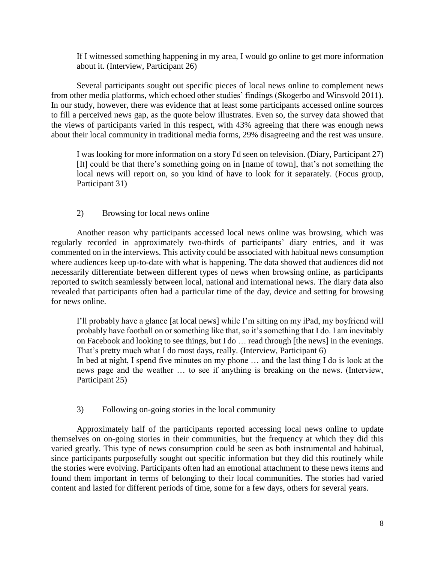If I witnessed something happening in my area, I would go online to get more information about it. (Interview, Participant 26)

Several participants sought out specific pieces of local news online to complement news from other media platforms, which echoed other studies' findings (Skogerbo and Winsvold 2011). In our study, however, there was evidence that at least some participants accessed online sources to fill a perceived news gap, as the quote below illustrates. Even so, the survey data showed that the views of participants varied in this respect, with 43% agreeing that there was enough news about their local community in traditional media forms, 29% disagreeing and the rest was unsure.

I was looking for more information on a story I'd seen on television. (Diary, Participant 27) [It] could be that there's something going on in [name of town], that's not something the local news will report on, so you kind of have to look for it separately. (Focus group, Participant 31)

## 2) Browsing for local news online

Another reason why participants accessed local news online was browsing, which was regularly recorded in approximately two-thirds of participants' diary entries, and it was commented on in the interviews. This activity could be associated with habitual news consumption where audiences keep up-to-date with what is happening. The data showed that audiences did not necessarily differentiate between different types of news when browsing online, as participants reported to switch seamlessly between local, national and international news. The diary data also revealed that participants often had a particular time of the day, device and setting for browsing for news online.

I'll probably have a glance [at local news] while I'm sitting on my iPad, my boyfriend will probably have football on or something like that, so it's something that I do. I am inevitably on Facebook and looking to see things, but I do … read through [the news] in the evenings. That's pretty much what I do most days, really. (Interview, Participant 6)

In bed at night, I spend five minutes on my phone … and the last thing I do is look at the news page and the weather … to see if anything is breaking on the news. (Interview, Participant 25)

## 3) Following on-going stories in the local community

Approximately half of the participants reported accessing local news online to update themselves on on-going stories in their communities, but the frequency at which they did this varied greatly. This type of news consumption could be seen as both instrumental and habitual, since participants purposefully sought out specific information but they did this routinely while the stories were evolving. Participants often had an emotional attachment to these news items and found them important in terms of belonging to their local communities. The stories had varied content and lasted for different periods of time, some for a few days, others for several years.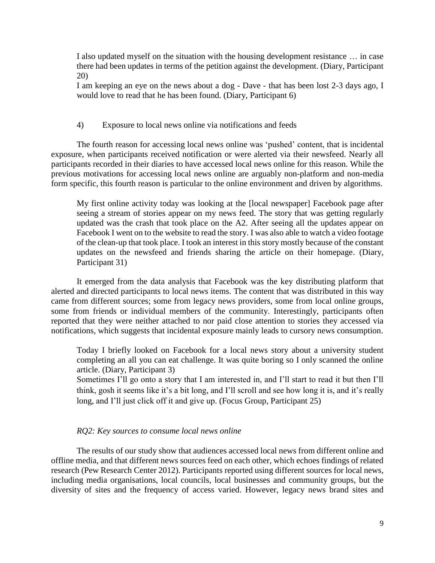I also updated myself on the situation with the housing development resistance … in case there had been updates in terms of the petition against the development. (Diary, Participant 20)

I am keeping an eye on the news about a dog - Dave - that has been lost 2-3 days ago, I would love to read that he has been found. (Diary, Participant 6)

#### 4) Exposure to local news online via notifications and feeds

The fourth reason for accessing local news online was 'pushed' content, that is incidental exposure, when participants received notification or were alerted via their newsfeed. Nearly all participants recorded in their diaries to have accessed local news online for this reason. While the previous motivations for accessing local news online are arguably non-platform and non-media form specific, this fourth reason is particular to the online environment and driven by algorithms.

My first online activity today was looking at the [local newspaper] Facebook page after seeing a stream of stories appear on my news feed. The story that was getting regularly updated was the crash that took place on the A2. After seeing all the updates appear on Facebook I went on to the website to read the story. I was also able to watch a video footage of the clean-up that took place. I took an interest in this story mostly because of the constant updates on the newsfeed and friends sharing the article on their homepage. (Diary, Participant 31)

It emerged from the data analysis that Facebook was the key distributing platform that alerted and directed participants to local news items. The content that was distributed in this way came from different sources; some from legacy news providers, some from local online groups, some from friends or individual members of the community. Interestingly, participants often reported that they were neither attached to nor paid close attention to stories they accessed via notifications, which suggests that incidental exposure mainly leads to cursory news consumption.

Today I briefly looked on Facebook for a local news story about a university student completing an all you can eat challenge. It was quite boring so I only scanned the online article. (Diary, Participant 3)

Sometimes I'll go onto a story that I am interested in, and I'll start to read it but then I'll think, gosh it seems like it's a bit long, and I'll scroll and see how long it is, and it's really long, and I'll just click off it and give up. (Focus Group, Participant 25)

#### *RQ2: Key sources to consume local news online*

The results of our study show that audiences accessed local news from different online and offline media, and that different news sources feed on each other, which echoes findings of related research (Pew Research Center 2012). Participants reported using different sources for local news, including media organisations, local councils, local businesses and community groups, but the diversity of sites and the frequency of access varied. However, legacy news brand sites and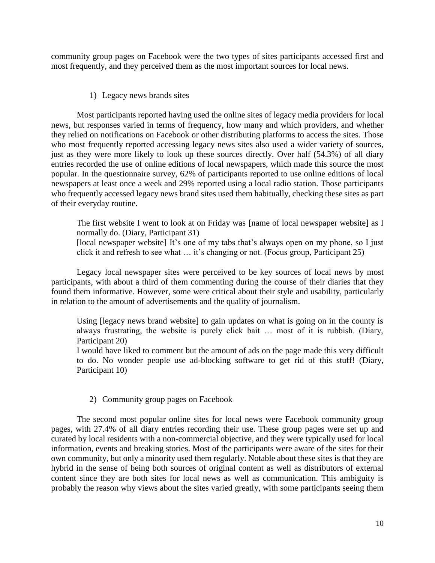community group pages on Facebook were the two types of sites participants accessed first and most frequently, and they perceived them as the most important sources for local news.

## 1) Legacy news brands sites

Most participants reported having used the online sites of legacy media providers for local news, but responses varied in terms of frequency, how many and which providers, and whether they relied on notifications on Facebook or other distributing platforms to access the sites. Those who most frequently reported accessing legacy news sites also used a wider variety of sources, just as they were more likely to look up these sources directly. Over half (54.3%) of all diary entries recorded the use of online editions of local newspapers, which made this source the most popular. In the questionnaire survey, 62% of participants reported to use online editions of local newspapers at least once a week and 29% reported using a local radio station. Those participants who frequently accessed legacy news brand sites used them habitually, checking these sites as part of their everyday routine.

The first website I went to look at on Friday was [name of local newspaper website] as I normally do. (Diary, Participant 31)

[local newspaper website] It's one of my tabs that's always open on my phone, so I just click it and refresh to see what … it's changing or not. (Focus group, Participant 25)

Legacy local newspaper sites were perceived to be key sources of local news by most participants, with about a third of them commenting during the course of their diaries that they found them informative. However, some were critical about their style and usability, particularly in relation to the amount of advertisements and the quality of journalism.

Using [legacy news brand website] to gain updates on what is going on in the county is always frustrating, the website is purely click bait … most of it is rubbish. (Diary, Participant 20)

I would have liked to comment but the amount of ads on the page made this very difficult to do. No wonder people use ad-blocking software to get rid of this stuff! (Diary, Participant 10)

## 2) Community group pages on Facebook

The second most popular online sites for local news were Facebook community group pages, with 27.4% of all diary entries recording their use. These group pages were set up and curated by local residents with a non-commercial objective, and they were typically used for local information, events and breaking stories. Most of the participants were aware of the sites for their own community, but only a minority used them regularly. Notable about these sites is that they are hybrid in the sense of being both sources of original content as well as distributors of external content since they are both sites for local news as well as communication. This ambiguity is probably the reason why views about the sites varied greatly, with some participants seeing them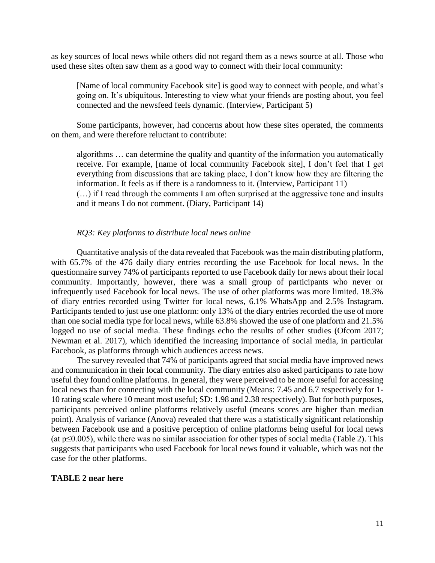as key sources of local news while others did not regard them as a news source at all. Those who used these sites often saw them as a good way to connect with their local community:

[Name of local community Facebook site] is good way to connect with people, and what's going on. It's ubiquitous. Interesting to view what your friends are posting about, you feel connected and the newsfeed feels dynamic. (Interview, Participant 5)

Some participants, however, had concerns about how these sites operated, the comments on them, and were therefore reluctant to contribute:

algorithms … can determine the quality and quantity of the information you automatically receive. For example, [name of local community Facebook site], I don't feel that I get everything from discussions that are taking place, I don't know how they are filtering the information. It feels as if there is a randomness to it. (Interview, Participant 11) (…) if I read through the comments I am often surprised at the aggressive tone and insults

and it means I do not comment. (Diary, Participant 14)

#### *RQ3: Key platforms to distribute local news online*

Quantitative analysis of the data revealed that Facebook was the main distributing platform, with 65.7% of the 476 daily diary entries recording the use Facebook for local news. In the questionnaire survey 74% of participants reported to use Facebook daily for news about their local community. Importantly, however, there was a small group of participants who never or infrequently used Facebook for local news. The use of other platforms was more limited. 18.3% of diary entries recorded using Twitter for local news, 6.1% WhatsApp and 2.5% Instagram. Participants tended to just use one platform: only 13% of the diary entries recorded the use of more than one social media type for local news, while 63.8% showed the use of one platform and 21.5% logged no use of social media. These findings echo the results of other studies (Ofcom 2017; Newman et al. 2017), which identified the increasing importance of social media, in particular Facebook, as platforms through which audiences access news.

The survey revealed that 74% of participants agreed that social media have improved news and communication in their local community. The diary entries also asked participants to rate how useful they found online platforms. In general, they were perceived to be more useful for accessing local news than for connecting with the local community (Means: 7.45 and 6.7 respectively for 1- 10 rating scale where 10 meant most useful; SD: 1.98 and 2.38 respectively). But for both purposes, participants perceived online platforms relatively useful (means scores are higher than median point). Analysis of variance (Anova) revealed that there was a statistically significant relationship between Facebook use and a positive perception of online platforms being useful for local news (at p≤0.005), while there was no similar association for other types of social media (Table 2). This suggests that participants who used Facebook for local news found it valuable, which was not the case for the other platforms.

## **TABLE 2 near here**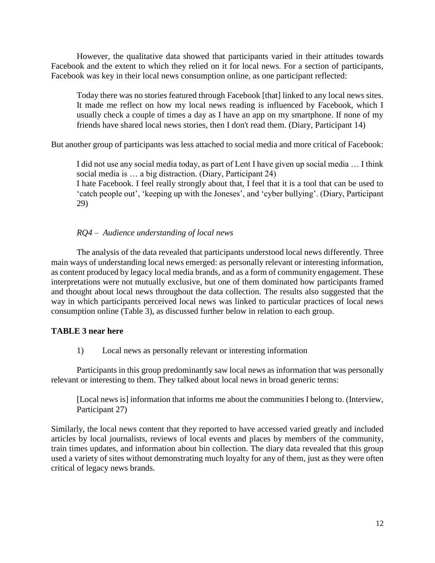However, the qualitative data showed that participants varied in their attitudes towards Facebook and the extent to which they relied on it for local news. For a section of participants, Facebook was key in their local news consumption online, as one participant reflected:

Today there was no stories featured through Facebook [that] linked to any local news sites. It made me reflect on how my local news reading is influenced by Facebook, which I usually check a couple of times a day as I have an app on my smartphone. If none of my friends have shared local news stories, then I don't read them. (Diary, Participant 14)

But another group of participants was less attached to social media and more critical of Facebook:

I did not use any social media today, as part of Lent I have given up social media … I think social media is … a big distraction. (Diary, Participant 24) I hate Facebook. I feel really strongly about that, I feel that it is a tool that can be used to 'catch people out', 'keeping up with the Joneses', and 'cyber bullying'. (Diary, Participant 29)

## *RQ4 – Audience understanding of local news*

The analysis of the data revealed that participants understood local news differently. Three main ways of understanding local news emerged: as personally relevant or interesting information, as content produced by legacy local media brands, and as a form of community engagement. These interpretations were not mutually exclusive, but one of them dominated how participants framed and thought about local news throughout the data collection. The results also suggested that the way in which participants perceived local news was linked to particular practices of local news consumption online (Table 3), as discussed further below in relation to each group.

## **TABLE 3 near here**

1) Local news as personally relevant or interesting information

Participants in this group predominantly saw local news as information that was personally relevant or interesting to them. They talked about local news in broad generic terms:

[Local news is] information that informs me about the communities I belong to. (Interview, Participant 27)

Similarly, the local news content that they reported to have accessed varied greatly and included articles by local journalists, reviews of local events and places by members of the community, train times updates, and information about bin collection. The diary data revealed that this group used a variety of sites without demonstrating much loyalty for any of them, just as they were often critical of legacy news brands.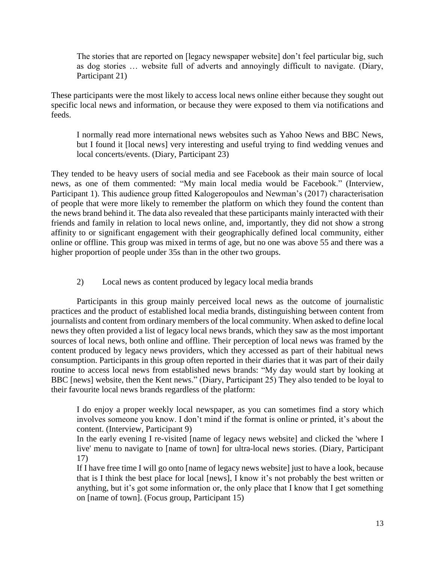The stories that are reported on [legacy newspaper website] don't feel particular big, such as dog stories … website full of adverts and annoyingly difficult to navigate. (Diary, Participant 21)

These participants were the most likely to access local news online either because they sought out specific local news and information, or because they were exposed to them via notifications and feeds.

I normally read more international news websites such as Yahoo News and BBC News, but I found it [local news] very interesting and useful trying to find wedding venues and local concerts/events. (Diary, Participant 23)

They tended to be heavy users of social media and see Facebook as their main source of local news, as one of them commented: "My main local media would be Facebook." (Interview, Participant 1). This audience group fitted Kalogeropoulos and Newman's (2017) characterisation of people that were more likely to remember the platform on which they found the content than the news brand behind it. The data also revealed that these participants mainly interacted with their friends and family in relation to local news online, and, importantly, they did not show a strong affinity to or significant engagement with their geographically defined local community, either online or offline. This group was mixed in terms of age, but no one was above 55 and there was a higher proportion of people under 35s than in the other two groups.

2) Local news as content produced by legacy local media brands

Participants in this group mainly perceived local news as the outcome of journalistic practices and the product of established local media brands, distinguishing between content from journalists and content from ordinary members of the local community. When asked to define local news they often provided a list of legacy local news brands, which they saw as the most important sources of local news, both online and offline. Their perception of local news was framed by the content produced by legacy news providers, which they accessed as part of their habitual news consumption. Participants in this group often reported in their diaries that it was part of their daily routine to access local news from established news brands: "My day would start by looking at BBC [news] website, then the Kent news." (Diary, Participant 25) They also tended to be loyal to their favourite local news brands regardless of the platform:

I do enjoy a proper weekly local newspaper, as you can sometimes find a story which involves someone you know. I don't mind if the format is online or printed, it's about the content. (Interview, Participant 9)

In the early evening I re-visited [name of legacy news website] and clicked the 'where I live' menu to navigate to [name of town] for ultra-local news stories. (Diary, Participant 17)

If I have free time I will go onto [name of legacy news website] just to have a look, because that is I think the best place for local [news], I know it's not probably the best written or anything, but it's got some information or, the only place that I know that I get something on [name of town]. (Focus group, Participant 15)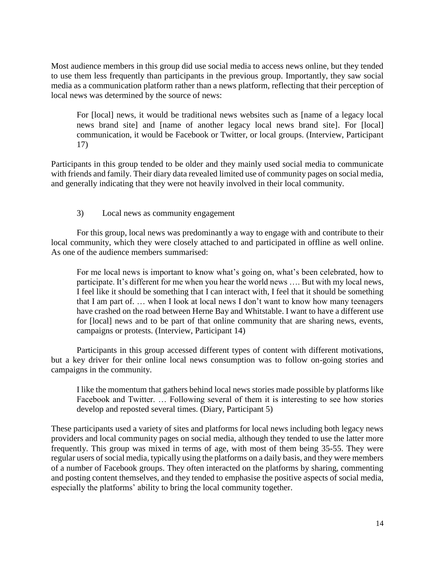Most audience members in this group did use social media to access news online, but they tended to use them less frequently than participants in the previous group. Importantly, they saw social media as a communication platform rather than a news platform, reflecting that their perception of local news was determined by the source of news:

For [local] news, it would be traditional news websites such as [name of a legacy local news brand site] and [name of another legacy local news brand site]. For [local] communication, it would be Facebook or Twitter, or local groups. (Interview, Participant 17)

Participants in this group tended to be older and they mainly used social media to communicate with friends and family. Their diary data revealed limited use of community pages on social media, and generally indicating that they were not heavily involved in their local community.

## 3) Local news as community engagement

For this group, local news was predominantly a way to engage with and contribute to their local community, which they were closely attached to and participated in offline as well online. As one of the audience members summarised:

For me local news is important to know what's going on, what's been celebrated, how to participate. It's different for me when you hear the world news …. But with my local news, I feel like it should be something that I can interact with, I feel that it should be something that I am part of. … when I look at local news I don't want to know how many teenagers have crashed on the road between Herne Bay and Whitstable. I want to have a different use for [local] news and to be part of that online community that are sharing news, events, campaigns or protests. (Interview, Participant 14)

Participants in this group accessed different types of content with different motivations, but a key driver for their online local news consumption was to follow on-going stories and campaigns in the community.

I like the momentum that gathers behind local news stories made possible by platforms like Facebook and Twitter. … Following several of them it is interesting to see how stories develop and reposted several times. (Diary, Participant 5)

These participants used a variety of sites and platforms for local news including both legacy news providers and local community pages on social media, although they tended to use the latter more frequently. This group was mixed in terms of age, with most of them being 35-55. They were regular users of social media, typically using the platforms on a daily basis, and they were members of a number of Facebook groups. They often interacted on the platforms by sharing, commenting and posting content themselves, and they tended to emphasise the positive aspects of social media, especially the platforms' ability to bring the local community together.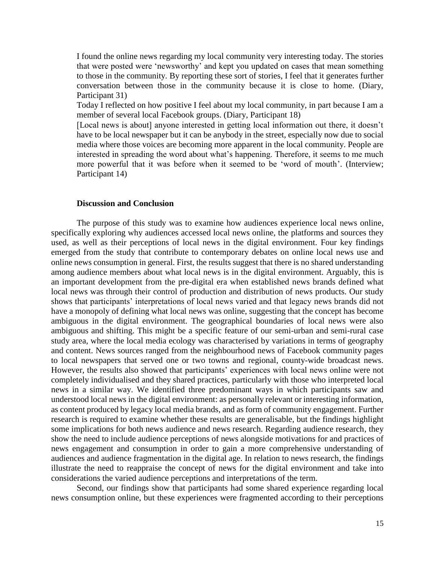I found the online news regarding my local community very interesting today. The stories that were posted were 'newsworthy' and kept you updated on cases that mean something to those in the community. By reporting these sort of stories, I feel that it generates further conversation between those in the community because it is close to home. (Diary, Participant 31)

Today I reflected on how positive I feel about my local community, in part because I am a member of several local Facebook groups. (Diary, Participant 18)

[Local news is about] anyone interested in getting local information out there, it doesn't have to be local newspaper but it can be anybody in the street, especially now due to social media where those voices are becoming more apparent in the local community. People are interested in spreading the word about what's happening. Therefore, it seems to me much more powerful that it was before when it seemed to be 'word of mouth'. (Interview; Participant 14)

#### **Discussion and Conclusion**

The purpose of this study was to examine how audiences experience local news online, specifically exploring why audiences accessed local news online, the platforms and sources they used, as well as their perceptions of local news in the digital environment. Four key findings emerged from the study that contribute to contemporary debates on online local news use and online news consumption in general. First, the results suggest that there is no shared understanding among audience members about what local news is in the digital environment. Arguably, this is an important development from the pre-digital era when established news brands defined what local news was through their control of production and distribution of news products. Our study shows that participants' interpretations of local news varied and that legacy news brands did not have a monopoly of defining what local news was online, suggesting that the concept has become ambiguous in the digital environment. The geographical boundaries of local news were also ambiguous and shifting. This might be a specific feature of our semi-urban and semi-rural case study area, where the local media ecology was characterised by variations in terms of geography and content. News sources ranged from the neighbourhood news of Facebook community pages to local newspapers that served one or two towns and regional, county-wide broadcast news. However, the results also showed that participants' experiences with local news online were not completely individualised and they shared practices, particularly with those who interpreted local news in a similar way. We identified three predominant ways in which participants saw and understood local news in the digital environment: as personally relevant or interesting information, as content produced by legacy local media brands, and as form of community engagement. Further research is required to examine whether these results are generalisable, but the findings highlight some implications for both news audience and news research. Regarding audience research, they show the need to include audience perceptions of news alongside motivations for and practices of news engagement and consumption in order to gain a more comprehensive understanding of audiences and audience fragmentation in the digital age. In relation to news research, the findings illustrate the need to reappraise the concept of news for the digital environment and take into considerations the varied audience perceptions and interpretations of the term.

Second, our findings show that participants had some shared experience regarding local news consumption online, but these experiences were fragmented according to their perceptions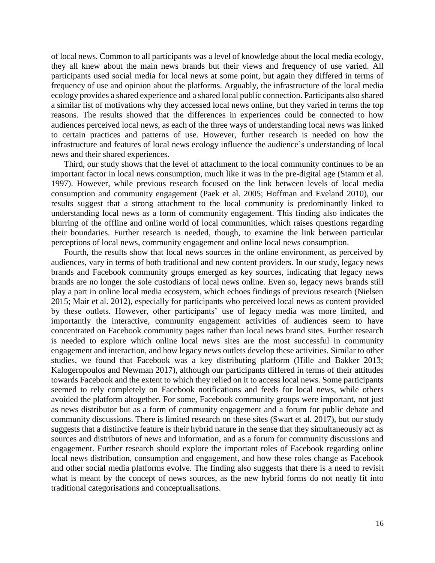of local news. Common to all participants was a level of knowledge about the local media ecology, they all knew about the main news brands but their views and frequency of use varied. All participants used social media for local news at some point, but again they differed in terms of frequency of use and opinion about the platforms. Arguably, the infrastructure of the local media ecology provides a shared experience and a shared local public connection. Participants also shared a similar list of motivations why they accessed local news online, but they varied in terms the top reasons. The results showed that the differences in experiences could be connected to how audiences perceived local news, as each of the three ways of understanding local news was linked to certain practices and patterns of use. However, further research is needed on how the infrastructure and features of local news ecology influence the audience's understanding of local news and their shared experiences.

Third, our study shows that the level of attachment to the local community continues to be an important factor in local news consumption, much like it was in the pre-digital age (Stamm et al. 1997). However, while previous research focused on the link between levels of local media consumption and community engagement (Paek et al. 2005; Hoffman and Eveland 2010), our results suggest that a strong attachment to the local community is predominantly linked to understanding local news as a form of community engagement. This finding also indicates the blurring of the offline and online world of local communities, which raises questions regarding their boundaries. Further research is needed, though, to examine the link between particular perceptions of local news, community engagement and online local news consumption.

Fourth, the results show that local news sources in the online environment, as perceived by audiences, vary in terms of both traditional and new content providers. In our study, legacy news brands and Facebook community groups emerged as key sources, indicating that legacy news brands are no longer the sole custodians of local news online. Even so, legacy news brands still play a part in online local media ecosystem, which echoes findings of previous research (Nielsen 2015; Mair et al. 2012), especially for participants who perceived local news as content provided by these outlets. However, other participants' use of legacy media was more limited, and importantly the interactive, community engagement activities of audiences seem to have concentrated on Facebook community pages rather than local news brand sites. Further research is needed to explore which online local news sites are the most successful in community engagement and interaction, and how legacy news outlets develop these activities. Similar to other studies, we found that Facebook was a key distributing platform (Hille and Bakker 2013; Kalogeropoulos and Newman 2017), although our participants differed in terms of their attitudes towards Facebook and the extent to which they relied on it to access local news. Some participants seemed to rely completely on Facebook notifications and feeds for local news, while others avoided the platform altogether. For some, Facebook community groups were important, not just as news distributor but as a form of community engagement and a forum for public debate and community discussions. There is limited research on these sites (Swart et al. 2017), but our study suggests that a distinctive feature is their hybrid nature in the sense that they simultaneously act as sources and distributors of news and information, and as a forum for community discussions and engagement. Further research should explore the important roles of Facebook regarding online local news distribution, consumption and engagement, and how these roles change as Facebook and other social media platforms evolve. The finding also suggests that there is a need to revisit what is meant by the concept of news sources, as the new hybrid forms do not neatly fit into traditional categorisations and conceptualisations.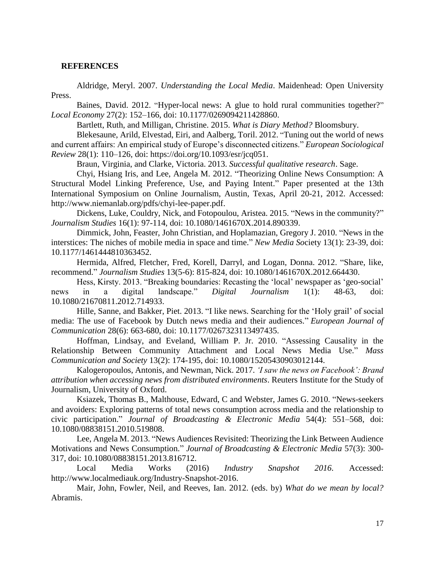#### **REFERENCES**

Aldridge, Meryl. 2007. *Understanding the Local Media*. Maidenhead: Open University Press.

Baines, David. 2012. "Hyper-local news: A glue to hold rural communities together?" *Local Economy* 27(2): 152–166, doi: 10.1177/0269094211428860.

Bartlett, Ruth, and Milligan, Christine. 2015. *What is Diary Method?* Bloomsbury.

Blekesaune, Arild, Elvestad, Eiri, and Aalberg, Toril. 2012. "Tuning out the world of news and current affairs: An empirical study of Europe's disconnected citizens." *European Sociological Review* 28(1): 110–126, doi: https://doi.org/10.1093/esr/jcq051.

Braun, Virginia, and Clarke, Victoria. 2013. *Successful qualitative research*. Sage.

Chyi, Hsiang Iris, and Lee, Angela M. 2012. "Theorizing Online News Consumption: A Structural Model Linking Preference, Use, and Paying Intent." Paper presented at the 13th International Symposium on Online Journalism, Austin, Texas, April 20-21, 2012. Accessed: http://www.niemanlab.org/pdfs/chyi-lee-paper.pdf.

Dickens, Luke, Couldry, Nick, and Fotopoulou, Aristea. 2015. "News in the community?" *Journalism Studies* 16(1): 97-114, doi: 10.1080/1461670X.2014.890339.

Dimmick, John, Feaster, John Christian, and Hoplamazian, Gregory J. 2010. "News in the interstices: The niches of mobile media in space and time." *New Media So*ciety 13(1): 23-39, doi: 10.1177/1461444810363452.

Hermida, Alfred, Fletcher, Fred, Korell, Darryl, and Logan, Donna. 2012. "Share, like, recommend." *Journalism Studies* 13(5-6): 815-824, doi: 10.1080/1461670X.2012.664430.

Hess, Kirsty. 2013. "Breaking boundaries: Recasting the 'local' newspaper as 'geo-social' news in a digital landscape." *Digital Journalism* 1(1): 48-63, doi: 10.1080/21670811.2012.714933.

Hille, Sanne, and Bakker, Piet. 2013. "I like news. Searching for the 'Holy grail' of social media: The use of Facebook by Dutch news media and their audiences." *European Journal of Communication* 28(6): 663-680, doi: 10.1177/0267323113497435.

Hoffman, Lindsay, and Eveland, William P. Jr. 2010. "Assessing Causality in the Relationship Between Community Attachment and Local News Media Use." *Mass Communication and Society* 13(2): 174-195, doi: 10.1080/15205430903012144.

Kalogeropoulos, Antonis, and Newman, Nick. 2017. *'I saw the news on Facebook': Brand attribution when accessing news from distributed environments*. Reuters Institute for the Study of Journalism, University of Oxford.

Ksiazek, Thomas B., Malthouse, Edward, C and Webster, James G. 2010. "News-seekers and avoiders: Exploring patterns of total news consumption across media and the relationship to civic participation." *Journal of Broadcasting & Electronic Media* 54(4): 551–568, doi: 10.1080/08838151.2010.519808.

Lee, Angela M. 2013. "News Audiences Revisited: Theorizing the Link Between Audience Motivations and News Consumption." *Journal of Broadcasting & Electronic Media* 57(3): 300- 317, doi: 10.1080/08838151.2013.816712.

Local Media Works (2016) *Industry Snapshot 2016.* Accessed: http://www.localmediauk.org/Industry-Snapshot-2016.

Mair, John, Fowler, Neil, and Reeves, Ian. 2012. (eds. by) *What do we mean by local?* Abramis.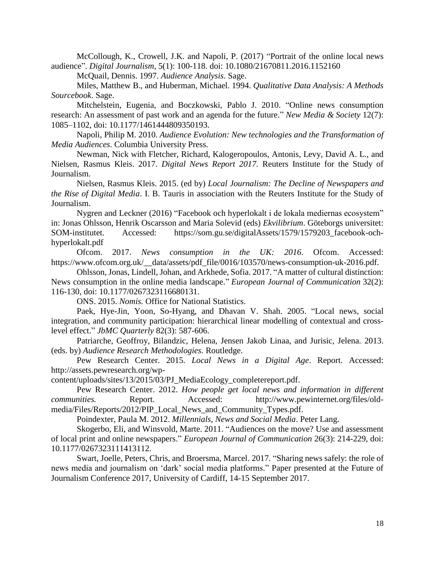McCollough, K., Crowell, J.K. and Napoli, P. (2017) "Portrait of the online local news audience". *Digital Journalism*, 5(1): 100-118. doi: 10.1080/21670811.2016.1152160

McQuail, Dennis. 1997. *Audience Analysis*. Sage.

Miles, Matthew B., and Huberman, Michael. 1994. *Qualitative Data Analysis: A Methods Sourcebook*. Sage.

Mitchelstein, Eugenia, and Boczkowski, Pablo J. 2010. "Online news consumption research: An assessment of past work and an agenda for the future." *New Media & Society* 12(7): 1085–1102, doi: 10.1177/1461444809350193.

Napoli, Philip M. 2010. *Audience Evolution: New technologies and the Transformation of Media Audiences*. Columbia University Press.

Newman, Nick with Fletcher, Richard, Kalogeropoulos, Antonis, Levy, David A. L., and Nielsen, Rasmus Kleis. 2017. *Digital News Report 2017.* Reuters Institute for the Study of Journalism.

Nielsen, Rasmus Kleis. 2015. (ed by) *Local Journalism: The Decline of Newspapers and the Rise of Digital Media*. I. B. Tauris in association with the Reuters Institute for the Study of Journalism.

Nygren and Leckner (2016) "Facebook och hyperlokalt i de lokala mediernas ecosystem" in: Jonas Ohlsson, Henrik Oscarsson and Maria Solevid (eds) *Ekvilibrium*. Göteborgs universitet: SOM-institutet. Accessed: https://som.gu.se/digitalAssets/1579/1579203\_facebook-ochhyperlokalt.pdf

Ofcom. 2017. *News consumption in the UK: 2016*. Ofcom. Accessed: https://www.ofcom.org.uk/\_data/assets/pdf\_file/0016/103570/news-consumption-uk-2016.pdf.

Ohlsson, Jonas, Lindell, Johan, and Arkhede, Sofia. 2017. "A matter of cultural distinction: News consumption in the online media landscape." *European Journal of Communication* 32(2): 116-130, doi: 10.1177/0267323116680131.

ONS. 2015. *Nomis.* Office for National Statistics.

Paek, Hye-Jin, Yoon, So-Hyang, and Dhavan V. Shah. 2005. "Local news, social integration, and community participation: hierarchical linear modelling of contextual and crosslevel effect." *JbMC Quarterly* 82(3): 587-606.

Patriarche, Geoffroy, Bilandzic, Helena, Jensen Jakob Linaa, and Jurisic, Jelena. 2013. (eds. by) *Audience Research Methodologies.* Routledge.

Pew Research Center. 2015. *Local News in a Digital Age*. Report. Accessed: http://assets.pewresearch.org/wp-

content/uploads/sites/13/2015/03/PJ\_MediaEcology\_completereport.pdf.

Pew Research Center. 2012. *How people get local news and information in different communities.* Report. Accessed: http://www.pewinternet.org/files/oldmedia/Files/Reports/2012/PIP\_Local\_News\_and\_Community\_Types.pdf.

Poindexter, Paula M. 2012. *Millennials, News and Social Media*. Peter Lang.

Skogerbo, Eli, and Winsvold, Marte. 2011. "Audiences on the move? Use and assessment of local print and online newspapers." *European Journal of Communication* 26(3): 214-229, doi: 10.1177/0267323111413112.

Swart, Joelle, Peters, Chris, and Broersma, Marcel. 2017. "Sharing news safely: the role of news media and journalism on 'dark' social media platforms." Paper presented at the Future of Journalism Conference 2017, University of Cardiff, 14-15 September 2017.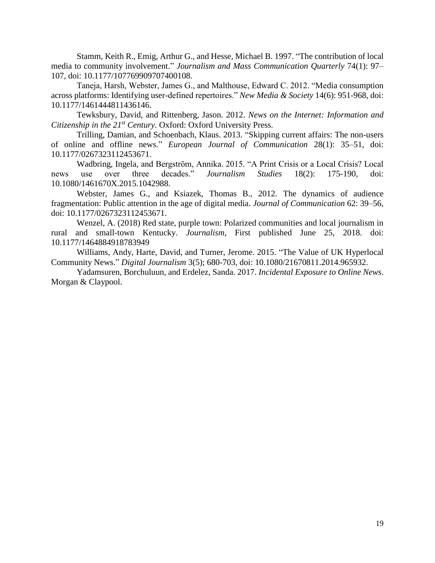Stamm, Keith R., Emig, Arthur G., and Hesse, Michael B. 1997. "The contribution of local media to community involvement." *Journalism and Mass Communication Quarterly* 74(1): 97– 107, doi: 10.1177/107769909707400108.

Taneja, Harsh, Webster, James G., and Malthouse, Edward C. 2012. "Media consumption across platforms: Identifying user-defined repertoires." *New Media & Society* 14(6): 951-968, doi: 10.1177/1461444811436146.

Tewksbury, David, and Rittenberg, Jason. 2012. *News on the Internet: Information and Citizenship in the 21st Century.* Oxford: Oxford University Press.

Trilling, Damian, and Schoenbach, Klaus. 2013. "Skipping current affairs: The non-users of online and offline news." *European Journal of Communication* 28(1): 35–51, doi: 10.1177/0267323112453671.

Wadbring, Ingela, and Bergström, Annika. 2015. "A Print Crisis or a Local Crisis? Local<br>use over three decades." *Journalism Studies* 18(2): 175-190, doi: news use over three decades." *Journalism Studies* 18(2): 175-190, doi: 10.1080/1461670X.2015.1042988.

Webster, James G., and Ksiazek, Thomas B., 2012. The dynamics of audience fragmentation: Public attention in the age of digital media. *Journal of Communication* 62: 39–56, doi: 10.1177/0267323112453671.

Wenzel, A. (2018) Red state, purple town: Polarized communities and local journalism in rural and small-town Kentucky. *Journalism*, First published June 25, 2018. doi: 10.1177/1464884918783949

Williams, Andy, Harte, David, and Turner, Jerome. 2015. "The Value of UK Hyperlocal Community News." *Digital Journalism* 3(5); 680-703, doi: 10.1080/21670811.2014.965932.

Yadamsuren, Borchuluun, and Erdelez, Sanda. 2017. *Incidental Exposure to Online News*. Morgan & Claypool.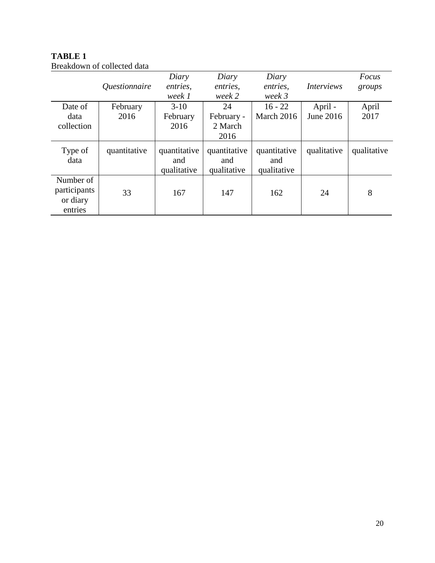| Breakdown of collected data |               |              |              |              |                   |             |  |  |
|-----------------------------|---------------|--------------|--------------|--------------|-------------------|-------------|--|--|
|                             |               | Diary        | Diary        | Diary        |                   | Focus       |  |  |
|                             | Questionnaire | entries,     | entries,     | entries,     | <i>Interviews</i> | groups      |  |  |
|                             |               | week 1       | week 2       | week 3       |                   |             |  |  |
| Date of                     | February      | $3-10$       | 24           | $16 - 22$    | April -           | April       |  |  |
| data                        | 2016          | February     | February -   | March 2016   | June 2016         | 2017        |  |  |
| collection                  |               | 2016         | 2 March      |              |                   |             |  |  |
|                             |               |              | 2016         |              |                   |             |  |  |
| Type of                     | quantitative  | quantitative | quantitative | quantitative | qualitative       | qualitative |  |  |
| data                        |               | and          | and          | and          |                   |             |  |  |
|                             |               | qualitative  | qualitative  | qualitative  |                   |             |  |  |
| Number of                   |               |              |              |              |                   |             |  |  |
| participants                | 33            | 167          | 147          | 162          | 24                | 8           |  |  |
| or diary                    |               |              |              |              |                   |             |  |  |
| entries                     |               |              |              |              |                   |             |  |  |

## **TABLE 1**  Breakdown of collected data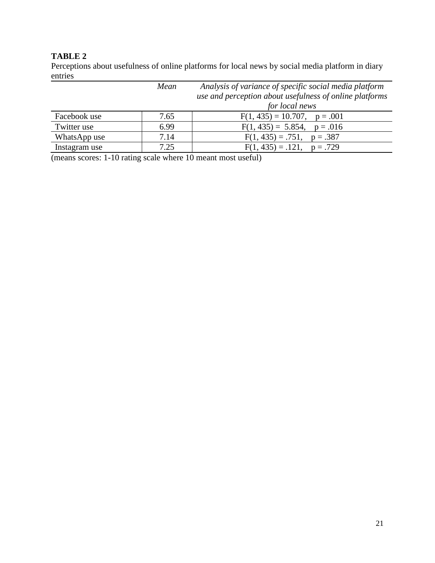## **TABLE 2**

Perceptions about usefulness of online platforms for local news by social media platform in diary entries

|               | Mean | Analysis of variance of specific social media platform<br>use and perception about usefulness of online platforms |  |  |
|---------------|------|-------------------------------------------------------------------------------------------------------------------|--|--|
|               |      | for local news                                                                                                    |  |  |
| Facebook use  | 7.65 | $F(1, 435) = 10.707$ , $p = .001$                                                                                 |  |  |
| Twitter use   | 6.99 | $F(1, 435) = 5.854$ , $p = .016$                                                                                  |  |  |
| WhatsApp use  | 7.14 | $F(1, 435) = .751$ , $p = .387$                                                                                   |  |  |
| Instagram use | 7.25 | $F(1, 435) = .121$ , $p = .729$                                                                                   |  |  |

(means scores: 1-10 rating scale where 10 meant most useful)